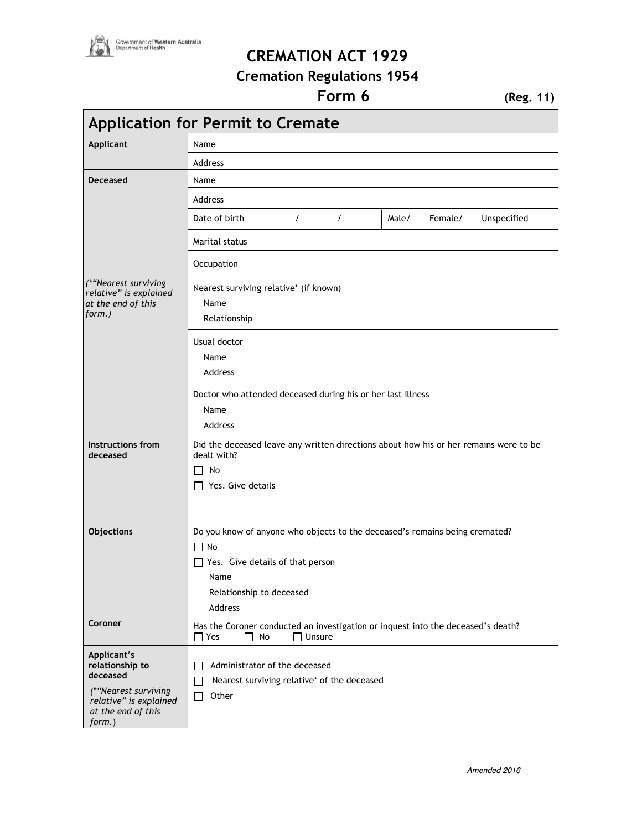

## **CREMATION ACT 1929**

## **Cremation Regulations 1954**

## **Form 6** (Reg. 11)

 $\overline{\phantom{0}}$ 

| <b>Application for Permit to Cremate</b>                                                  |                                                                                                                                                  |                                 |  |
|-------------------------------------------------------------------------------------------|--------------------------------------------------------------------------------------------------------------------------------------------------|---------------------------------|--|
| <b>Applicant</b>                                                                          | Name                                                                                                                                             |                                 |  |
|                                                                                           | Address                                                                                                                                          |                                 |  |
| <b>Deceased</b>                                                                           | Name                                                                                                                                             |                                 |  |
|                                                                                           | Address                                                                                                                                          |                                 |  |
|                                                                                           | Date of birth<br>$\prime$<br>$\prime$                                                                                                            | Female/<br>Unspecified<br>Male/ |  |
|                                                                                           | Marital status                                                                                                                                   |                                 |  |
|                                                                                           | Occupation                                                                                                                                       |                                 |  |
| (*"Nearest surviving<br>relative" is explained<br>at the end of this<br>form.)            | Nearest surviving relative* (if known)<br>Name<br>Relationship                                                                                   |                                 |  |
|                                                                                           | Usual doctor                                                                                                                                     |                                 |  |
|                                                                                           | Name                                                                                                                                             |                                 |  |
|                                                                                           | Address                                                                                                                                          |                                 |  |
|                                                                                           | Doctor who attended deceased during his or her last illness                                                                                      |                                 |  |
| Name                                                                                      |                                                                                                                                                  |                                 |  |
|                                                                                           | Address                                                                                                                                          |                                 |  |
| Instructions from<br>deceased                                                             | Did the deceased leave any written directions about how his or her remains were to be<br>dealt with?<br>No<br>$\Box$<br>$\Box$ Yes. Give details |                                 |  |
|                                                                                           |                                                                                                                                                  |                                 |  |
|                                                                                           |                                                                                                                                                  |                                 |  |
|                                                                                           |                                                                                                                                                  |                                 |  |
| Objections<br>Do you know of anyone who objects to the deceased's remains being cremated? |                                                                                                                                                  |                                 |  |
|                                                                                           | $\Box$ No<br>$\Box$ Yes. Give details of that person<br>Name<br>Relationship to deceased                                                         |                                 |  |
|                                                                                           |                                                                                                                                                  |                                 |  |
|                                                                                           |                                                                                                                                                  |                                 |  |
|                                                                                           | Address                                                                                                                                          |                                 |  |
| Coroner                                                                                   | Has the Coroner conducted an investigation or inquest into the deceased's death?<br>$\Box$ Yes<br>No<br>$\Box$ Unsure                            |                                 |  |
| Applicant's                                                                               |                                                                                                                                                  |                                 |  |
| relationship to<br>deceased                                                               | Administrator of the deceased<br>Nearest surviving relative* of the deceased<br>$\mathsf{L}$                                                     |                                 |  |
| (*"Nearest surviving                                                                      | Other<br>$\overline{\phantom{a}}$                                                                                                                |                                 |  |
| relative" is explained<br>at the end of this<br>form.)                                    |                                                                                                                                                  |                                 |  |